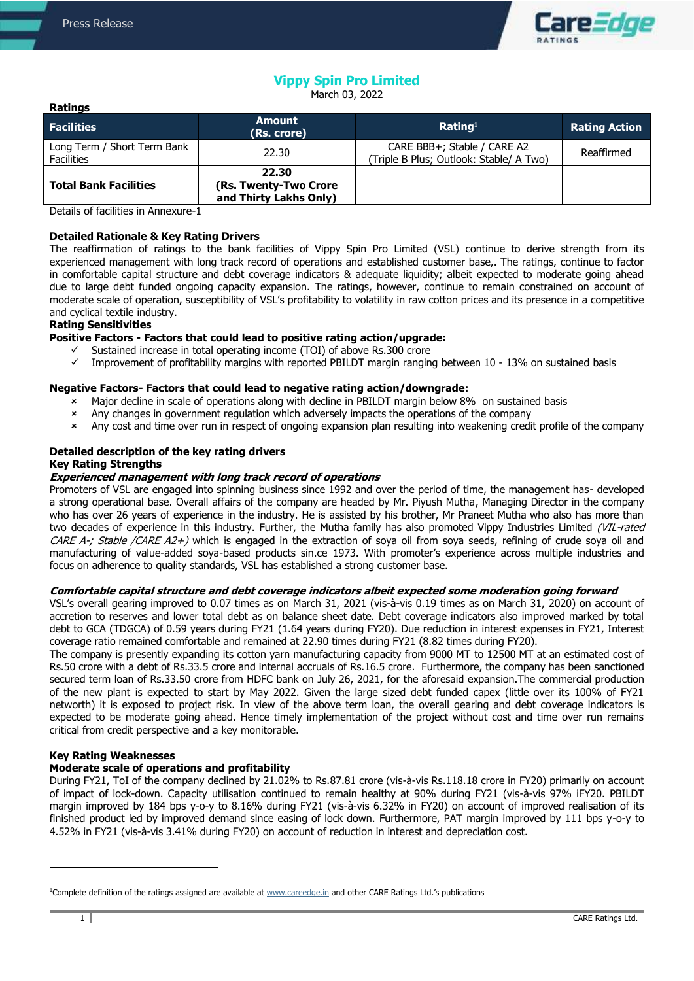**Ratings**



# **Vippy Spin Pro Limited**

March 03, 2022

| .                                                |                                                          |                                                                        |                      |
|--------------------------------------------------|----------------------------------------------------------|------------------------------------------------------------------------|----------------------|
| <b>Facilities</b>                                | <b>Amount</b><br>(Rs. crore)                             | Rating <sup>1</sup>                                                    | <b>Rating Action</b> |
| Long Term / Short Term Bank<br><b>Facilities</b> | 22.30                                                    | CARE BBB+; Stable / CARE A2<br>(Triple B Plus; Outlook: Stable/ A Two) | Reaffirmed           |
| <b>Total Bank Facilities</b>                     | 22.30<br>(Rs. Twenty-Two Crore<br>and Thirty Lakhs Only) |                                                                        |                      |

Details of facilities in Annexure-1

### **Detailed Rationale & Key Rating Drivers**

The reaffirmation of ratings to the bank facilities of Vippy Spin Pro Limited (VSL) continue to derive strength from its experienced management with long track record of operations and established customer base,. The ratings, continue to factor in comfortable capital structure and debt coverage indicators & adequate liquidity; albeit expected to moderate going ahead due to large debt funded ongoing capacity expansion. The ratings, however, continue to remain constrained on account of moderate scale of operation, susceptibility of VSL's profitability to volatility in raw cotton prices and its presence in a competitive and cyclical textile industry.

# **Rating Sensitivities**

### **Positive Factors - Factors that could lead to positive rating action/upgrade:**

- Sustained increase in total operating income (TOI) of above Rs.300 crore
- Improvement of profitability margins with reported PBILDT margin ranging between 10 13% on sustained basis

### **Negative Factors- Factors that could lead to negative rating action/downgrade:**

- Major decline in scale of operations along with decline in PBILDT margin below 8% on sustained basis
- \* Any changes in government regulation which adversely impacts the operations of the company<br>Any cost and time over run in respect of oppoing expansion plan resulting into weakening credi
- Any cost and time over run in respect of ongoing expansion plan resulting into weakening credit profile of the company

# **Detailed description of the key rating drivers**

### **Key Rating Strengths**

### **Experienced management with long track record of operations**

Promoters of VSL are engaged into spinning business since 1992 and over the period of time, the management has- developed a strong operational base. Overall affairs of the company are headed by Mr. Piyush Mutha, Managing Director in the company who has over 26 years of experience in the industry. He is assisted by his brother, Mr Praneet Mutha who also has more than two decades of experience in this industry. Further, the Mutha family has also promoted Vippy Industries Limited (VIL-rated CARE A-; Stable /CARE A2+) which is engaged in the extraction of soya oil from soya seeds, refining of crude soya oil and manufacturing of value-added soya-based products sin.ce 1973. With promoter's experience across multiple industries and focus on adherence to quality standards, VSL has established a strong customer base.

#### **Comfortable capital structure and debt coverage indicators albeit expected some moderation going forward**

VSL's overall gearing improved to 0.07 times as on March 31, 2021 (vis-à-vis 0.19 times as on March 31, 2020) on account of accretion to reserves and lower total debt as on balance sheet date. Debt coverage indicators also improved marked by total debt to GCA (TDGCA) of 0.59 years during FY21 (1.64 years during FY20). Due reduction in interest expenses in FY21, Interest coverage ratio remained comfortable and remained at 22.90 times during FY21 (8.82 times during FY20).

The company is presently expanding its cotton yarn manufacturing capacity from 9000 MT to 12500 MT at an estimated cost of Rs.50 crore with a debt of Rs.33.5 crore and internal accruals of Rs.16.5 crore. Furthermore, the company has been sanctioned secured term loan of Rs.33.50 crore from HDFC bank on July 26, 2021, for the aforesaid expansion.The commercial production of the new plant is expected to start by May 2022. Given the large sized debt funded capex (little over its 100% of FY21 networth) it is exposed to project risk. In view of the above term loan, the overall gearing and debt coverage indicators is expected to be moderate going ahead. Hence timely implementation of the project without cost and time over run remains critical from credit perspective and a key monitorable.

### **Key Rating Weaknesses**

### **Moderate scale of operations and profitability**

During FY21, ToI of the company declined by 21.02% to Rs.87.81 crore (vis-à-vis Rs.118.18 crore in FY20) primarily on account of impact of lock-down. Capacity utilisation continued to remain healthy at 90% during FY21 (vis-à-vis 97% iFY20. PBILDT margin improved by 184 bps y-o-y to 8.16% during FY21 (vis-à-vis 6.32% in FY20) on account of improved realisation of its finished product led by improved demand since easing of lock down. Furthermore, PAT margin improved by 111 bps y-o-y to 4.52% in FY21 (vis-à-vis 3.41% during FY20) on account of reduction in interest and depreciation cost.

 $\overline{a}$ 

<sup>&</sup>lt;sup>1</sup>Complete definition of the ratings assigned are available at [www.careedge.in](http://www.careedge.in/) and other CARE Ratings Ltd.'s publications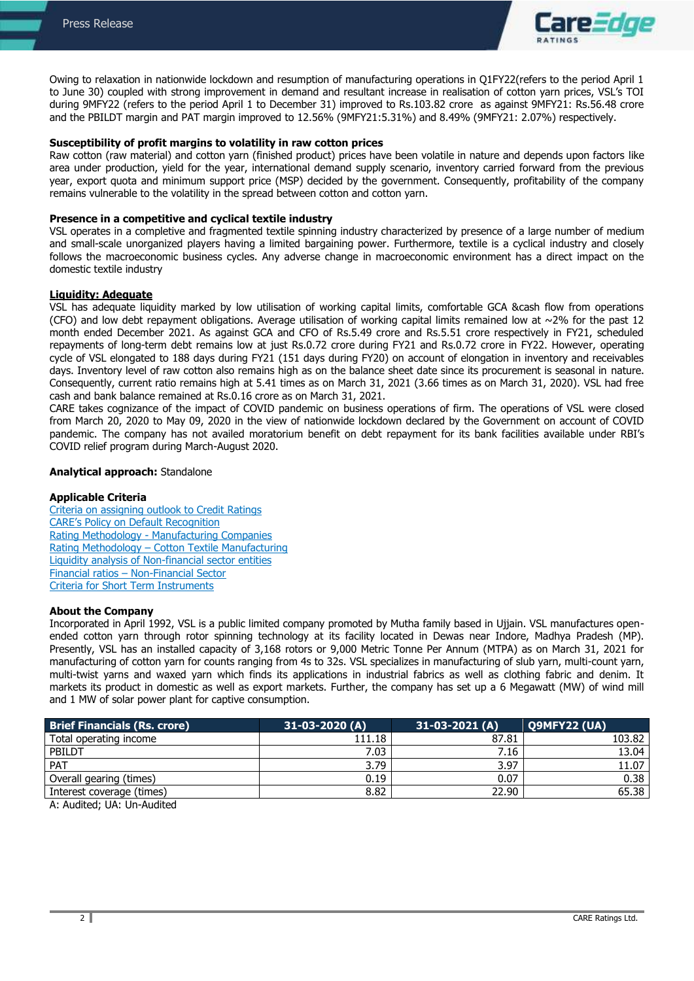

Owing to relaxation in nationwide lockdown and resumption of manufacturing operations in Q1FY22(refers to the period April 1 to June 30) coupled with strong improvement in demand and resultant increase in realisation of cotton yarn prices, VSL's TOI during 9MFY22 (refers to the period April 1 to December 31) improved to Rs.103.82 crore as against 9MFY21: Rs.56.48 crore and the PBILDT margin and PAT margin improved to 12.56% (9MFY21:5.31%) and 8.49% (9MFY21: 2.07%) respectively.

### **Susceptibility of profit margins to volatility in raw cotton prices**

Raw cotton (raw material) and cotton yarn (finished product) prices have been volatile in nature and depends upon factors like area under production, yield for the year, international demand supply scenario, inventory carried forward from the previous year, export quota and minimum support price (MSP) decided by the government. Consequently, profitability of the company remains vulnerable to the volatility in the spread between cotton and cotton yarn.

#### **Presence in a competitive and cyclical textile industry**

VSL operates in a completive and fragmented textile spinning industry characterized by presence of a large number of medium and small-scale unorganized players having a limited bargaining power. Furthermore, textile is a cyclical industry and closely follows the macroeconomic business cycles. Any adverse change in macroeconomic environment has a direct impact on the domestic textile industry

# **Liquidity: Adequate**

VSL has adequate liquidity marked by low utilisation of working capital limits, comfortable GCA &cash flow from operations (CFO) and low debt repayment obligations. Average utilisation of working capital limits remained low at  $\sim$ 2% for the past 12 month ended December 2021. As against GCA and CFO of Rs.5.49 crore and Rs.5.51 crore respectively in FY21, scheduled repayments of long-term debt remains low at just Rs.0.72 crore during FY21 and Rs.0.72 crore in FY22. However, operating cycle of VSL elongated to 188 days during FY21 (151 days during FY20) on account of elongation in inventory and receivables days. Inventory level of raw cotton also remains high as on the balance sheet date since its procurement is seasonal in nature. Consequently, current ratio remains high at 5.41 times as on March 31, 2021 (3.66 times as on March 31, 2020). VSL had free cash and bank balance remained at Rs.0.16 crore as on March 31, 2021.

CARE takes cognizance of the impact of COVID pandemic on business operations of firm. The operations of VSL were closed from March 20, 2020 to May 09, 2020 in the view of nationwide lockdown declared by the Government on account of COVID pandemic. The company has not availed moratorium benefit on debt repayment for its bank facilities available under RBI's COVID relief program during March-August 2020.

#### **Analytical approach:** Standalone

#### **Applicable Criteria**

[Criteria on assigning outlook to Credit Ratings](https://www.careratings.com/pdf/resources/Rating%20Outlook%20and%20credit%20watch%20_30May%202020.pdf) [CARE's Policy on Default Recognition](https://www.careratings.com/pdf/resources/CARE) Rating Methodology - [Manufacturing Companies](https://www.careratings.com/upload/NewsFiles/GetRated/Rating%20Methodology%20-%20Manufacturing%20Companies_16Sept2019.pdf) Rating Methodology – [Cotton Textile Manufacturing](https://www.careratings.com/upload/NewsFiles/GetRated/Rating%20Methodology_Pharmaceutical%20Sector_31July%202020.pdf) [Liquidity analysis of Non-financial sector entities](http://www.careratings.com/pdf/resources/Liquidity%20Analysis%20of%20Non-Financial%20Sector%20entities_May2020.pdf) Financial ratios – [Non-Financial Sector](http://www.careratings.com/pdf/resources/Financial%20ratios%20-%20Non%20Financial%20Sector-Sept2019.pdf) [Criteria for Short Term Instruments](https://www.careratings.com/upload/NewsFiles/GetRated/Short%20Term%20Instruments%20_Mar%202020.pdf)

#### **About the Company**

Incorporated in April 1992, VSL is a public limited company promoted by Mutha family based in Ujjain. VSL manufactures openended cotton yarn through rotor spinning technology at its facility located in Dewas near Indore, Madhya Pradesh (MP). Presently, VSL has an installed capacity of 3,168 rotors or 9,000 Metric Tonne Per Annum (MTPA) as on March 31, 2021 for manufacturing of cotton yarn for counts ranging from 4s to 32s. VSL specializes in manufacturing of slub yarn, multi-count yarn, multi-twist yarns and waxed yarn which finds its applications in industrial fabrics as well as clothing fabric and denim. It markets its product in domestic as well as export markets. Further, the company has set up a 6 Megawatt (MW) of wind mill and 1 MW of solar power plant for captive consumption.

| <b>Brief Financials (Rs. crore)</b> | $31-03-2020(A)$ | $31-03-2021(A)$ | Q9MFY22 (UA) |
|-------------------------------------|-----------------|-----------------|--------------|
| Total operating income              | 111.18          | 87.81           | 103.82       |
| PBILDT                              | 7.03            | 7.16            | 13.04 I      |
| <b>PAT</b>                          | 3.79            | 3.97            | 11.07        |
| Overall gearing (times)             | 0.19            | 0.07            | 0.38         |
| Interest coverage (times)           | 8.82            | 22.90           | 65.38        |
| .                                   |                 |                 |              |

A: Audited; UA: Un-Audited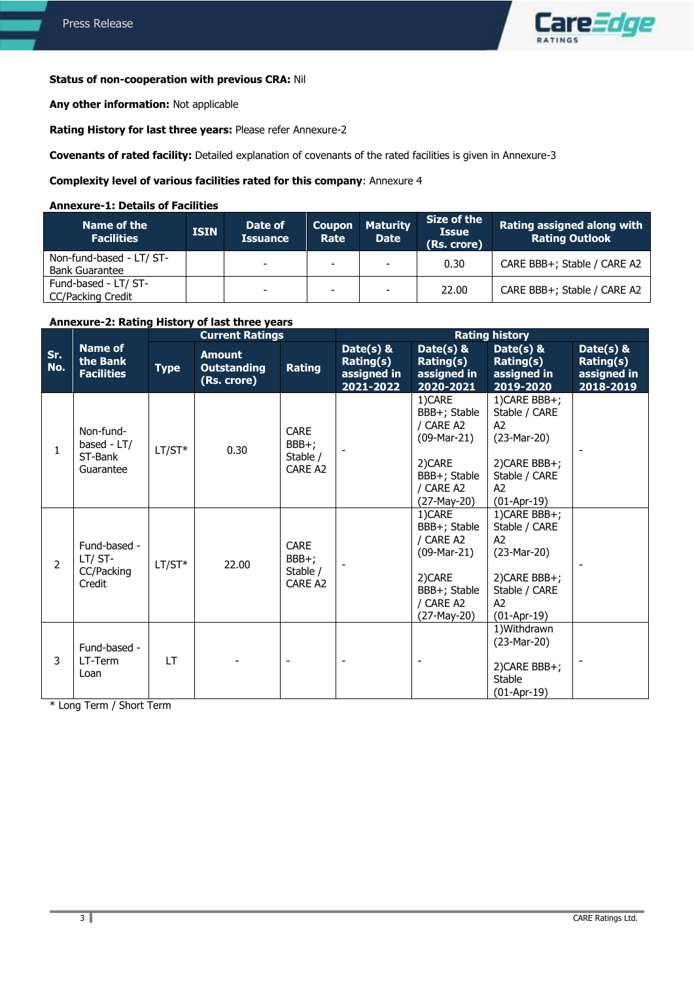# **Status of non-cooperation with previous CRA:** Nil

**Any other information:** Not applicable

**Rating History for last three years:** Please refer Annexure-2

**Covenants of rated facility:** Detailed explanation of covenants of the rated facilities is given in Annexure-3

# **Complexity level of various facilities rated for this company**: Annexure 4

### **Annexure-1: Details of Facilities**

| Name of the<br><b>Facilities</b>                  | <b>ISIN</b> | Date of<br><b>Issuance</b> | <b>Coupon</b><br>Rate | <b>Maturity</b><br><b>Date</b> | Size of the<br><b>Issue</b><br>(Rs. crore) | <b>Rating assigned along with</b><br><b>Rating Outlook</b> |
|---------------------------------------------------|-------------|----------------------------|-----------------------|--------------------------------|--------------------------------------------|------------------------------------------------------------|
| Non-fund-based - LT/ ST-<br><b>Bank Guarantee</b> |             | -                          | -                     | ۰                              | 0.30                                       | CARE BBB+: Stable / CARE A2                                |
| Fund-based - LT/ ST-<br><b>CC/Packing Credit</b>  |             | -                          | -                     | $\overline{\phantom{a}}$       | 22.00                                      | CARE BBB+; Stable / CARE A2                                |

# **Annexure-2: Rating History of last three years**

|                |                                                  |             | <b>Current Ratings</b>                             |                                                         | <b>Rating history</b>                              |                                                                                                             |                                                                                                                            |                                                        |
|----------------|--------------------------------------------------|-------------|----------------------------------------------------|---------------------------------------------------------|----------------------------------------------------|-------------------------------------------------------------------------------------------------------------|----------------------------------------------------------------------------------------------------------------------------|--------------------------------------------------------|
| Sr.<br>No.     | <b>Name of</b><br>the Bank<br><b>Facilities</b>  | <b>Type</b> | <b>Amount</b><br><b>Outstanding</b><br>(Rs. crore) | <b>Rating</b>                                           | Date(s) &<br>Rating(s)<br>assigned in<br>2021-2022 | Date $(s)$ &<br>Rating(s)<br>assigned in<br>2020-2021                                                       | Date(s) &<br>Rating(s)<br>assigned in<br>2019-2020                                                                         | Date( $s$ ) &<br>Rating(s)<br>assigned in<br>2018-2019 |
| $\mathbf{1}$   | Non-fund-<br>based - LT/<br>ST-Bank<br>Guarantee | $LT/ST*$    | 0.30                                               | <b>CARE</b><br>BBB+;<br>Stable /<br>CARE A <sub>2</sub> |                                                    | 1)CARE<br>BBB+; Stable<br>/ CARE A2<br>$(09-Mar-21)$<br>2) CARE<br>BBB+; Stable<br>/ CARE A2<br>(27-May-20) | 1) CARE BBB+;<br>Stable / CARE<br>A2<br>$(23-Mar-20)$<br>2) CARE BBB+;<br>Stable / CARE<br>A <sub>2</sub><br>$(01-Apr-19)$ |                                                        |
| $\overline{2}$ | Fund-based -<br>LT/ST-<br>CC/Packing<br>Credit   | $LT/ST*$    | 22.00                                              | <b>CARE</b><br>BBB+;<br>Stable /<br>CARE A <sub>2</sub> |                                                    | 1)CARE<br>BBB+; Stable<br>/ CARE A2<br>$(09-Mar-21)$<br>2) CARE<br>BBB+; Stable<br>/ CARE A2<br>(27-May-20) | 1) CARE BBB+;<br>Stable / CARE<br>A2<br>$(23-Mar-20)$<br>2) CARE BBB+;<br>Stable / CARE<br>A2<br>$(01-Apr-19)$             |                                                        |
| 3              | Fund-based -<br>LT-Term<br>Loan                  | LT          |                                                    |                                                         |                                                    |                                                                                                             | 1) Withdrawn<br>$(23-Mar-20)$<br>2) CARE BBB+;<br>Stable<br>$(01-Apr-19)$                                                  |                                                        |

\* Long Term / Short Term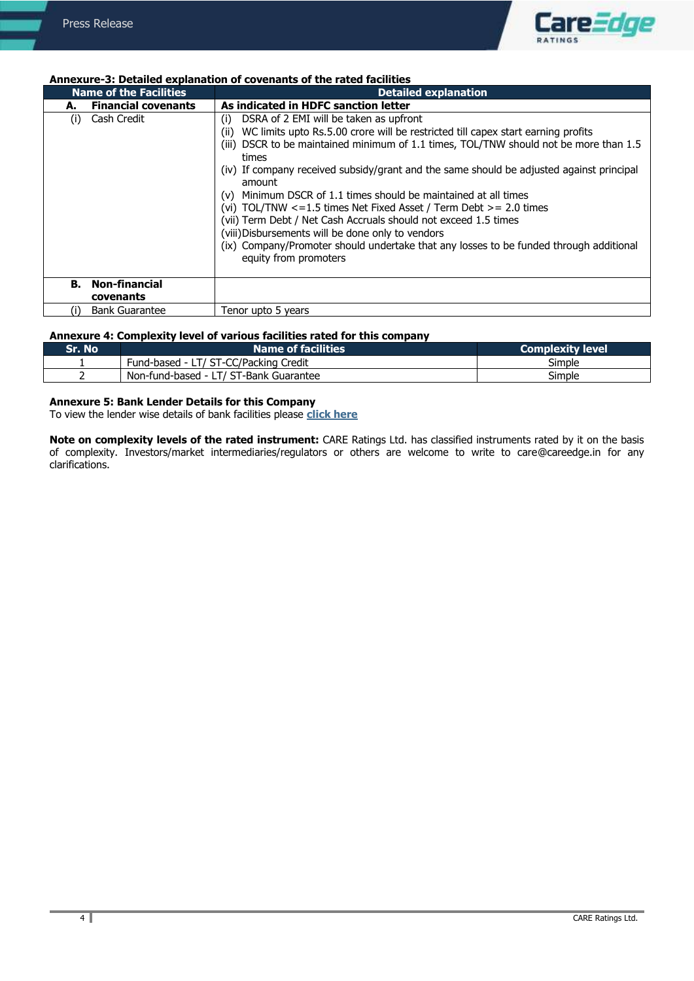

### **Annexure-3: Detailed explanation of covenants of the rated facilities**

| <b>Name of the Facilities</b>           | <b>Detailed explanation</b>                                                                                                                                                                                                                                                                                                                                                                                                                                                                                                                                                                                                                                                                                                                             |  |  |
|-----------------------------------------|---------------------------------------------------------------------------------------------------------------------------------------------------------------------------------------------------------------------------------------------------------------------------------------------------------------------------------------------------------------------------------------------------------------------------------------------------------------------------------------------------------------------------------------------------------------------------------------------------------------------------------------------------------------------------------------------------------------------------------------------------------|--|--|
| <b>Financial covenants</b><br>А.        | As indicated in HDFC sanction letter                                                                                                                                                                                                                                                                                                                                                                                                                                                                                                                                                                                                                                                                                                                    |  |  |
| Cash Credit<br>(i)                      | DSRA of 2 EMI will be taken as upfront<br>(i)<br>WC limits upto Rs.5.00 crore will be restricted till capex start earning profits<br>(ii)<br>DSCR to be maintained minimum of 1.1 times, TOL/TNW should not be more than 1.5<br>(iii)<br>times<br>(iv) If company received subsidy/grant and the same should be adjusted against principal<br>amount<br>Minimum DSCR of 1.1 times should be maintained at all times<br>(v)<br>(vi) TOL/TNW $\leq$ = 1.5 times Net Fixed Asset / Term Debt $\geq$ = 2.0 times<br>(vii) Term Debt / Net Cash Accruals should not exceed 1.5 times<br>(viii) Disbursements will be done only to vendors<br>(ix) Company/Promoter should undertake that any losses to be funded through additional<br>equity from promoters |  |  |
|                                         |                                                                                                                                                                                                                                                                                                                                                                                                                                                                                                                                                                                                                                                                                                                                                         |  |  |
| <b>Non-financial</b><br>В.<br>covenants |                                                                                                                                                                                                                                                                                                                                                                                                                                                                                                                                                                                                                                                                                                                                                         |  |  |
| <b>Bank Guarantee</b><br>(۱)            | Tenor upto 5 years                                                                                                                                                                                                                                                                                                                                                                                                                                                                                                                                                                                                                                                                                                                                      |  |  |

### **Annexure 4: Complexity level of various facilities rated for this company**

| Sr. No | <b>Name of facilities</b>              | Complexity level |
|--------|----------------------------------------|------------------|
|        | Fund-based - LT/ ST-CC/Packing Credit  | Simple           |
|        | Non-fund-based - LT/ ST-Bank Guarantee | Simple           |

# **Annexure 5: Bank Lender Details for this Company**

To view the lender wise details of bank facilities please **[click here](https://www.careratings.com/Bankdetails.aspx?Id=/RpVYfdPEueNvnYQ+OO7wg==)**

**Note on complexity levels of the rated instrument:** CARE Ratings Ltd. has classified instruments rated by it on the basis of complexity. Investors/market intermediaries/regulators or others are welcome to write to care@careedge.in for any clarifications.